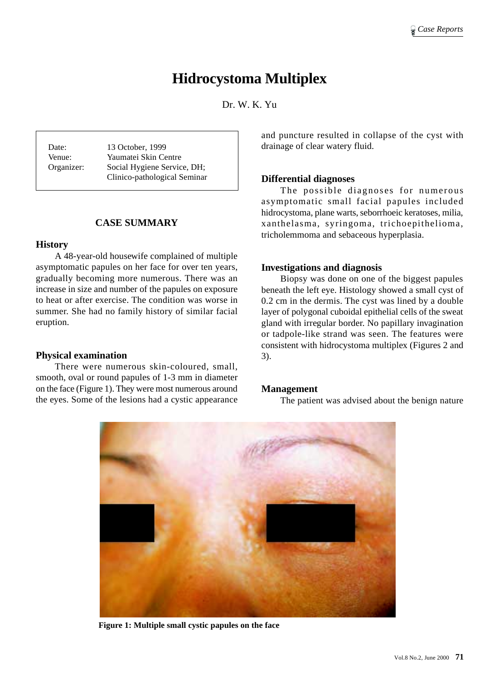# **Hidrocystoma Multiplex**

Dr. W. K. Yu

Date: 13 October, 1999 Venue: Yaumatei Skin Centre Organizer: Social Hygiene Service, DH; Clinico-pathological Seminar

# **CASE SUMMARY**

## **History**

A 48-year-old housewife complained of multiple asymptomatic papules on her face for over ten years, gradually becoming more numerous. There was an increase in size and number of the papules on exposure to heat or after exercise. The condition was worse in summer. She had no family history of similar facial eruption.

## **Physical examination**

There were numerous skin-coloured, small, smooth, oval or round papules of 1-3 mm in diameter on the face (Figure 1). They were most numerous around the eyes. Some of the lesions had a cystic appearance and puncture resulted in collapse of the cyst with drainage of clear watery fluid.

# **Differential diagnoses**

The possible diagnoses for numerous asymptomatic small facial papules included hidrocystoma, plane warts, seborrhoeic keratoses, milia, xanthelasma, syringoma, trichoepithelioma, tricholemmoma and sebaceous hyperplasia.

# **Investigations and diagnosis**

Biopsy was done on one of the biggest papules beneath the left eye. Histology showed a small cyst of 0.2 cm in the dermis. The cyst was lined by a double layer of polygonal cuboidal epithelial cells of the sweat gland with irregular border. No papillary invagination or tadpole-like strand was seen. The features were consistent with hidrocystoma multiplex (Figures 2 and 3).

## **Management**

The patient was advised about the benign nature



**Figure 1: Multiple small cystic papules on the face**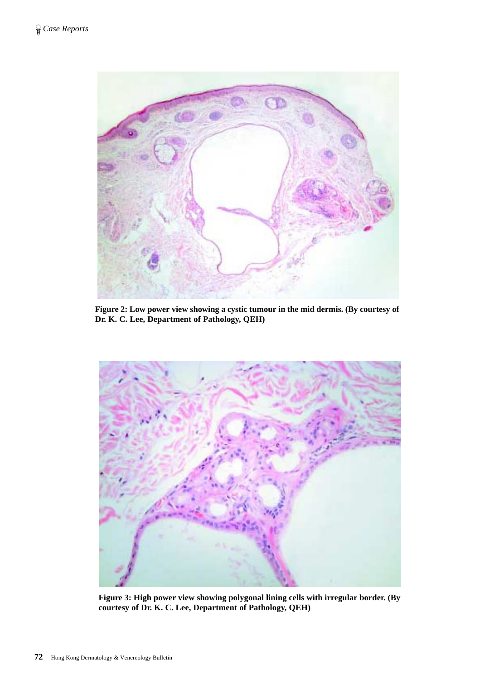

**Figure 2: Low power view showing a cystic tumour in the mid dermis. (By courtesy of Dr. K. C. Lee, Department of Pathology, QEH)**



**Figure 3: High power view showing polygonal lining cells with irregular border. (By courtesy of Dr. K. C. Lee, Department of Pathology, QEH)**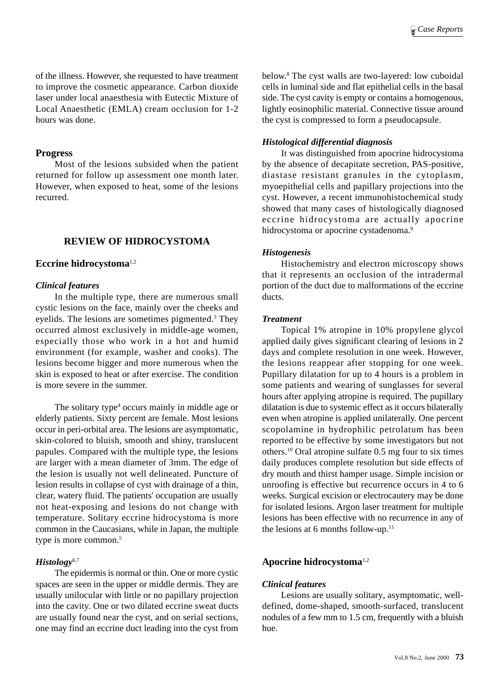of the illness. However, she requested to have treatment to improve the cosmetic appearance. Carbon dioxide laser under local anaesthesia with Eutectic Mixture of Local Anaesthetic (EMLA) cream occlusion for 1-2 hours was done.

#### **Progress**

Most of the lesions subsided when the patient returned for follow up assessment one month later. However, when exposed to heat, some of the lesions recurred.

# **REVIEW OF HIDROCYSTOMA**

## **Eccrine hidrocystoma**1,2

#### *Clinical features*

In the multiple type, there are numerous small cystic lesions on the face, mainly over the cheeks and eyelids. The lesions are sometimes pigmented.<sup>3</sup> They occurred almost exclusively in middle-age women, especially those who work in a hot and humid environment (for example, washer and cooks). The lesions become bigger and more numerous when the skin is exposed to heat or after exercise. The condition is more severe in the summer.

The solitary type<sup>4</sup> occurs mainly in middle age or elderly patients. Sixty percent are female. Most lesions occur in peri-orbital area. The lesions are asymptomatic, skin-colored to bluish, smooth and shiny, translucent papules. Compared with the multiple type, the lesions are larger with a mean diameter of 3mm. The edge of the lesion is usually not well delineated. Puncture of lesion results in collapse of cyst with drainage of a thin, clear, watery fluid. The patients' occupation are usually not heat-exposing and lesions do not change with temperature. Solitary eccrine hidrocystoma is more common in the Caucasians, while in Japan, the multiple type is more common.<sup>5</sup>

## *Histology*6,7

The epidermis is normal or thin. One or more cystic spaces are seen in the upper or middle dermis. They are usually unilocular with little or no papillary projection into the cavity. One or two dilated eccrine sweat ducts are usually found near the cyst, and on serial sections, one may find an eccrine duct leading into the cyst from

below.8 The cyst walls are two-layered: low cuboidal cells in luminal side and flat epithelial cells in the basal side. The cyst cavity is empty or contains a homogenous, lightly eosinophilic material. Connective tissue around the cyst is compressed to form a pseudocapsule.

#### *Histological differential diagnosis*

It was distinguished from apocrine hidrocystoma by the absence of decapitate secretion, PAS-positive, diastase resistant granules in the cytoplasm, myoepithelial cells and papillary projections into the cyst. However, a recent immunohistochemical study showed that many cases of histologically diagnosed eccrine hidrocystoma are actually apocrine hidrocystoma or apocrine cystadenoma.<sup>9</sup>

## *Histogenesis*

Histochemistry and electron microscopy shows that it represents an occlusion of the intradermal portion of the duct due to malformations of the eccrine ducts.

#### *Treatment*

Topical 1% atropine in 10% propylene glycol applied daily gives significant clearing of lesions in 2 days and complete resolution in one week. However, the lesions reappear after stopping for one week. Pupillary dilatation for up to 4 hours is a problem in some patients and wearing of sunglasses for several hours after applying atropine is required. The pupillary dilatation is due to systemic effect as it occurs bilaterally even when atropine is applied unilaterally. One percent scopolamine in hydrophilic petrolatum has been reported to be effective by some investigators but not others.10 Oral atropine sulfate 0.5 mg four to six times daily produces complete resolution but side effects of dry mouth and thirst hamper usage. Simple incision or unroofing is effective but recurrence occurs in 4 to 6 weeks. Surgical excision or electrocautery may be done for isolated lesions. Argon laser treatment for multiple lesions has been effective with no recurrence in any of the lesions at 6 months follow-up. $11$ 

## **Apocrine hidrocystoma**1,2

## *Clinical features*

Lesions are usually solitary, asymptomatic, welldefined, dome-shaped, smooth-surfaced, translucent nodules of a few mm to 1.5 cm, frequently with a bluish hue.